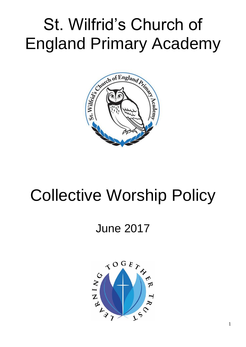# St. Wilfrid's Church of England Primary Academy



## Collective Worship Policy

### June 2017

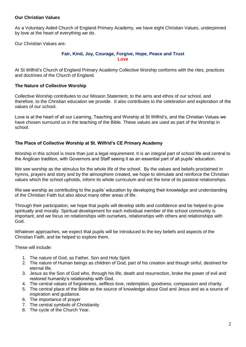#### **Our Christian Values**

As a Voluntary Aided Church of England Primary Academy, we have eight Christian Values, underpinned by love at the heart of everything we do.

Our Christian Values are:

#### **Fair, Kind, Joy, Courage, Forgive, Hope, Peace and Trust Love**

At St Wilfrid's Church of England Primary Academy Collective Worship conforms with the rites, practices and doctrines of the Church of England.

#### **The Nature of Collective Worship**

Collective Worship contributes to our Mission Statement, to the aims and ethos of our school, and therefore, to the Christian education we provide. It also contributes to the celebration and exploration of the values of our school.

Love is at the heart of all our Learning, Teaching and Worship at St Wilfrid's, and the Christian Values we have chosen surround us in the teaching of the Bible. These values are used as part of the Worship in school.

#### **The Place of Collective Worship at St. Wilfrid's CE Primary Academy**

Worship in this school is more than just a legal requirement. It is an integral part of school life and central to the Anglican tradition, with Governors and Staff seeing it as an essential part of all pupils' education.

We see worship as the stimulus for the whole life of the school. By the values and beliefs proclaimed in hymns, prayers and story and by the atmosphere created, we hope to stimulate and reinforce the Christian values which the school upholds, inform its whole curriculum and set the tone of its pastoral relationships.

We see worship as contributing to the pupils' education by developing their knowledge and understanding of the Christian Faith but also about many other areas of life.

Through their participation, we hope that pupils will develop skills and confidence and be helped to grow spiritually and morally. Spiritual development for each individual member of the school community is important, and we focus on relationships with ourselves, relationships with others and relationships with God.

Whatever approaches, we expect that pupils will be introduced to the key beliefs and aspects of the Christian Faith, and be helped to explore them.

These will include:

- 1. The nature of God, as Father, Son and Holy Spirit
- 2. The nature of Human beings as children of God, part of his creation and though sinful, destined for eternal life.
- 3. Jesus as the Son of God who, through his life, death and resurrection, broke the power of evil and restored humanity's relationship with God.
- 4. The central values of forgiveness, selfless love, redemption, goodness, compassion and charity.
- 5. The central place of the Bible as the source of knowledge about God and Jesus and as a source of inspiration and guidance.
- 6. The importance of prayer
- 7. The central symbols of Christianity
- 8. The cycle of the Church Year.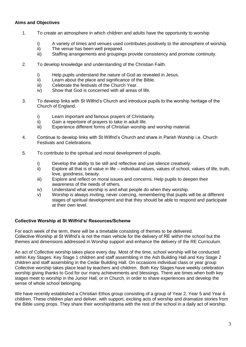#### **Aims and Objectives**

- 1. To create an atmosphere in which children and adults have the opportunity to worship
	- i) A variety of times and venues used contributes positively to the atmosphere of worship.
	- ii) The venue has been well prepared.
	- iii) Staffing arrangements and groupings provide consistency and promote continuity.
- 2. To develop knowledge and understanding of the Christian Faith.
	- i) Help pupils understand the nature of God as revealed in Jesus.
	- ii) Learn about the place and significance of the Bible.
	- iii) Celebrate the festivals of the Church Year.
	- iv) Show that God is concerned with all areas of life.
- 3. To develop links with St Wilfrid's Church and introduce pupils to the worship heritage of the Church of England.
	- i) Learn important and famous prayers of Christianity.
	- ii) Gain a repertoire of prayers to take in adult life.
	- iii) Experience different forms of Christian worship and worship material.
- 4. Continue to develop links with St Wilfrid's Church and share in Parish Worship i.e. Church Festivals and Celebrations.
- 5. To contribute to the spiritual and moral development of pupils.
	- i) Develop the ability to be still and reflective and use silence creatively.
	- ii) Explore all that is of value in life individual values, values of school, values of life, truth, love, goodness, beauty.
	- iii) Explore and reflect on moral issues and concerns. Help pupils to deepen their awareness of the needs of others.
	- iv) Understand what worship is and what people do when they worship.
	- v) Worship is always inviting, never coercing, remembering that pupils will be at different stages of spiritual development and that they should be able to respond and participate at their own level.

#### **Collective Worship at St Wilfrid's/ Resources/Scheme**

For each week of the term, there will be a timetable consisting of themes to be delivered. Collective Worship at St Wilfrid's is not the main vehicle for the delivery of RE within the school but the themes and dimensions addressed in Worship support and enhance the delivery of the RE Curriculum.

An act of Collective worship takes place every day. Most of the time, school worship will be conducted within Key Stages: Key Stage 1 children and staff assembling in the Ash Building Hall and Key Stage 2 children and staff assembling in the Cedar Building Hall. On occasions individual class or year group Collective worship takes place lead by teachers and children. Both Key Stages have weekly celebration worship giving thanks to God for our many achievements and blessings. There are times when both key stages meet to worship in the Junior Hall, or in Church, in order to share experiences and develop the sense of whole school belonging.

We have recently established a Christian Ethos group consisting of a group of Year 2, Year 5 and Year 6 children. These children plan and deliver, with support, exciting acts of worship and dramatize stories from the Bible using props. They share their worship/drama with the rest of the school in a daily act of worship.